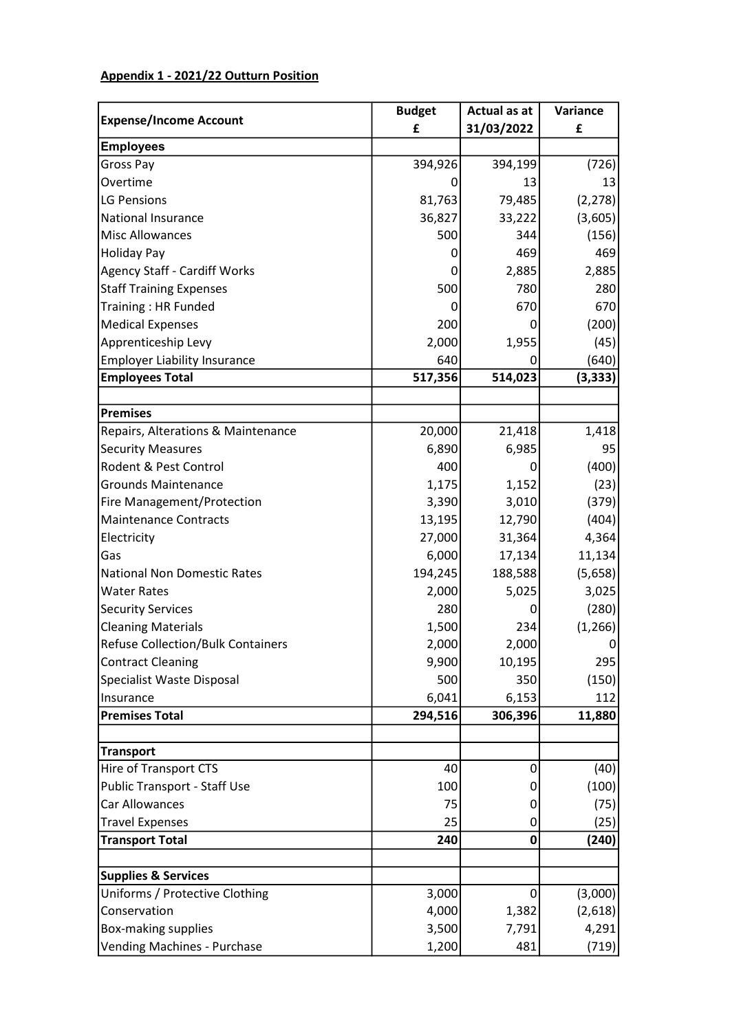## Appendix 1 - 2021/22 Outturn Position

| <b>Expense/Income Account</b>            | <b>Budget</b> | <b>Actual as at</b> | Variance       |
|------------------------------------------|---------------|---------------------|----------------|
|                                          | £             | 31/03/2022          | £              |
| <b>Employees</b>                         |               |                     |                |
| Gross Pay                                | 394,926       | 394,199             | (726)          |
| Overtime                                 | O             | 13                  | 13             |
| LG Pensions                              | 81,763        | 79,485              | (2, 278)       |
| National Insurance                       | 36,827        | 33,222              | (3,605)        |
| Misc Allowances                          | 500           | 344                 | (156)          |
| Holiday Pay                              | 0             | 469                 | 469            |
| Agency Staff - Cardiff Works             | 0             | 2,885               | 2,885          |
| <b>Staff Training Expenses</b>           | 500           | 780                 | 280            |
| Training: HR Funded                      | 0             | 670                 | 670            |
| Medical Expenses                         | 200           | 0                   | (200)          |
| Apprenticeship Levy                      | 2,000         | 1,955               | (45)           |
| Employer Liability Insurance             | 640           | 0                   | (640)          |
| <b>Employees Total</b>                   | 517,356       | 514,023             | (3, 333)       |
|                                          |               |                     |                |
| Premises                                 |               |                     |                |
| Repairs, Alterations & Maintenance       | 20,000        | 21,418              | 1,418          |
| <b>Security Measures</b>                 | 6,890         | 6,985               | 95             |
| <b>Rodent &amp; Pest Control</b>         | 400           | 0                   | (400)          |
| <b>Grounds Maintenance</b>               | 1,175         | 1,152               | (23)           |
| <b>Fire Management/Protection</b>        | 3,390         | 3,010               | (379)          |
| Maintenance Contracts                    | 13,195        | 12,790              | (404)          |
| Electricity                              | 27,000        | 31,364              | 4,364          |
| Gas                                      | 6,000         | 17,134              | 11,134         |
| National Non Domestic Rates              | 194,245       | 188,588             | (5,658)        |
| <b>Water Rates</b>                       | 2,000         | 5,025               | 3,025          |
| Security Services                        | 280           | 0                   | (280)          |
| <b>Cleaning Materials</b>                | 1,500         | 234                 | (1, 266)       |
| <b>Refuse Collection/Bulk Containers</b> | 2,000         | 2,000               | $\overline{0}$ |
| Contract Cleaning                        | 9,900         | 10,195              | 295            |
| Specialist Waste Disposal                | 500           | 350                 | (150)          |
| <b>Insurance</b>                         | 6,041         | 6,153               | 112            |
| <b>Premises Total</b>                    | 294,516       | 306,396             | 11,880         |
|                                          |               |                     |                |
| Transport                                |               |                     |                |
| Hire of Transport CTS                    | 40            | 0                   | (40)           |
| Public Transport - Staff Use             | 100           | 0                   | (100)          |
| <b>Car Allowances</b>                    | 75            | 0                   | (75)           |
| <b>Travel Expenses</b>                   | 25            | 0                   | (25)           |
| <b>Transport Total</b>                   | 240           | 0                   | (240)          |
| <b>Supplies &amp; Services</b>           |               |                     |                |
| Uniforms / Protective Clothing           | 3,000         | 0                   | (3,000)        |
| Conservation                             | 4,000         | 1,382               | (2,618)        |
| Box-making supplies                      | 3,500         | 7,791               | 4,291          |
| Vending Machines - Purchase              | 1,200         | 481                 | (719)          |
|                                          |               |                     |                |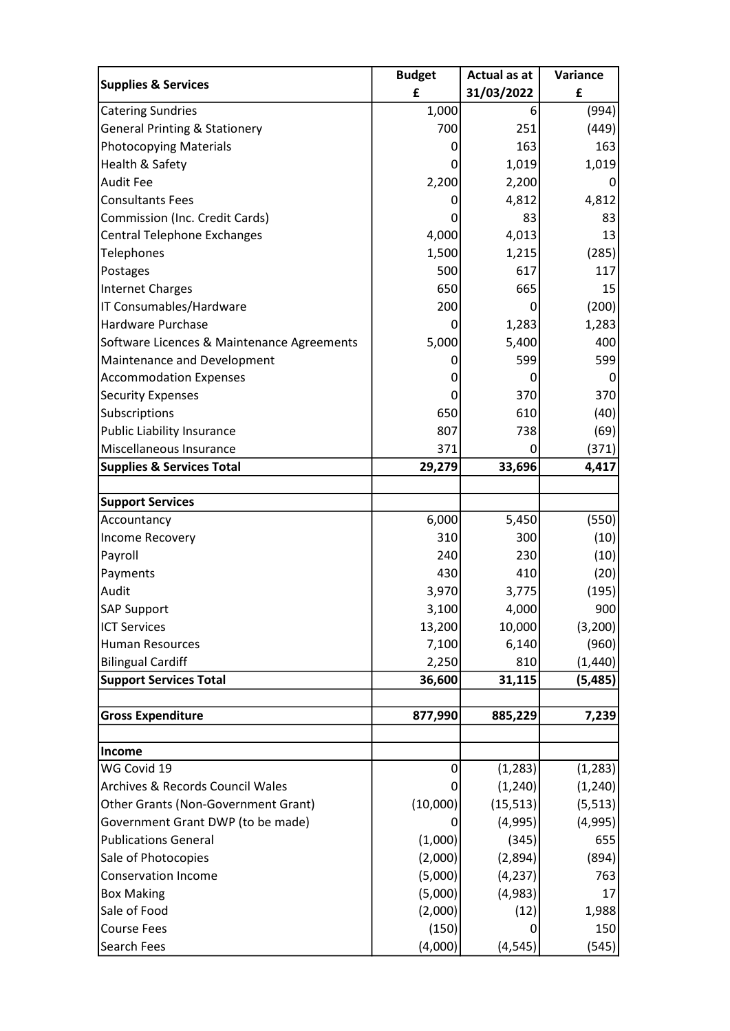| <b>Supplies &amp; Services</b>              | <b>Budget</b> | <b>Actual as at</b> | Variance |
|---------------------------------------------|---------------|---------------------|----------|
|                                             | £             | 31/03/2022          | £        |
| <b>Catering Sundries</b>                    | 1,000         | 6                   | (994)    |
| <b>General Printing &amp; Stationery</b>    | 700           | 251                 | (449)    |
| <b>Photocopying Materials</b>               | 0             | 163                 | 163      |
| Health & Safety                             | 0             | 1,019               | 1,019    |
| <b>Audit Fee</b>                            | 2,200         | 2,200               | $\Omega$ |
| <b>Consultants Fees</b>                     | 0             | 4,812               | 4,812    |
| Commission (Inc. Credit Cards)              | 0             | 83                  | 83       |
| Central Telephone Exchanges                 | 4,000         | 4,013               | 13       |
| Telephones                                  | 1,500         | 1,215               | (285)    |
| Postages                                    | 500           | 617                 | 117      |
| <b>Internet Charges</b>                     | 650           | 665                 | 15       |
| IT Consumables/Hardware                     | 200           | 0                   | (200)    |
| Hardware Purchase                           | 0             | 1,283               | 1,283    |
| Software Licences & Maintenance Agreements  | 5,000         | 5,400               | 400      |
| Maintenance and Development                 | 0             | 599                 | 599      |
| <b>Accommodation Expenses</b>               | 0             | 0                   | 0        |
| <b>Security Expenses</b>                    | 0             | 370                 | 370      |
| Subscriptions                               | 650           | 610                 | (40)     |
| <b>Public Liability Insurance</b>           | 807           | 738                 | (69)     |
| Miscellaneous Insurance                     | 371           | 0                   | (371)    |
| <b>Supplies &amp; Services Total</b>        | 29,279        | 33,696              | 4,417    |
|                                             |               |                     |          |
| <b>Support Services</b>                     |               |                     |          |
| Accountancy                                 | 6,000         | 5,450               | (550)    |
| Income Recovery                             | 310           | 300                 | (10)     |
| Payroll                                     | 240           | 230                 | (10)     |
| Payments                                    | 430           | 410                 | (20)     |
| Audit                                       | 3,970         | 3,775               | (195)    |
| SAP Support                                 | 3,100         | 4,000               | 900      |
| <b>ICT Services</b>                         | 13,200        | 10,000              | (3,200)  |
| <b>Human Resources</b>                      | 7,100         | 6,140               | (960)    |
| <b>Bilingual Cardiff</b>                    | 2,250         | 810                 | (1, 440) |
| <b>Support Services Total</b>               | 36,600        | 31,115              | (5, 485) |
|                                             |               |                     |          |
| <b>Gross Expenditure</b>                    | 877,990       | 885,229             | 7,239    |
|                                             |               |                     |          |
| <b>Income</b><br>WG Covid 19                | 0             |                     |          |
|                                             |               | (1, 283)            | (1, 283) |
| <b>Archives &amp; Records Council Wales</b> | 0             | (1, 240)            | (1, 240) |
| <b>Other Grants (Non-Government Grant)</b>  | (10,000)      | (15, 513)           | (5, 513) |
| Government Grant DWP (to be made)           | 0             | (4,995)             | (4,995)  |
| <b>Publications General</b>                 | (1,000)       | (345)               | 655      |
| Sale of Photocopies                         | (2,000)       | (2,894)             | (894)    |
| <b>Conservation Income</b>                  | (5,000)       | (4, 237)            | 763      |
| <b>Box Making</b>                           | (5,000)       | (4,983)             | 17       |
| Sale of Food                                | (2,000)       | (12)                | 1,988    |
| <b>Course Fees</b>                          | (150)         | 0                   | 150      |
| <b>Search Fees</b>                          | (4,000)       | (4, 545)            | (545)    |